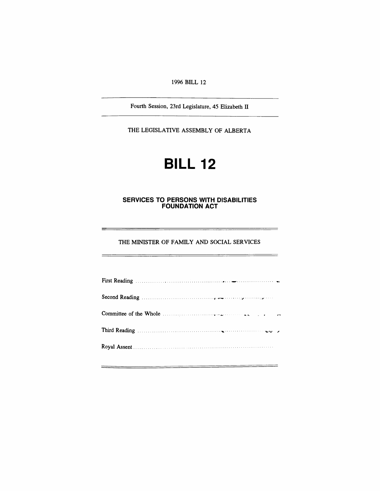*1996 BILL 12*

*Fourth Session, 23rd Legislature, 45 Elizabeth II*

*THE LEGISLATIVE ASSEMBLY OF ALBERTA*

# *BILL 12*

### *SERVICES TO PERSONS WITH DISABILITIES FOUNDATION ACT*

*THE MINISTER OF FAMILY AND SOCIAL SERVICES*

 $\equiv$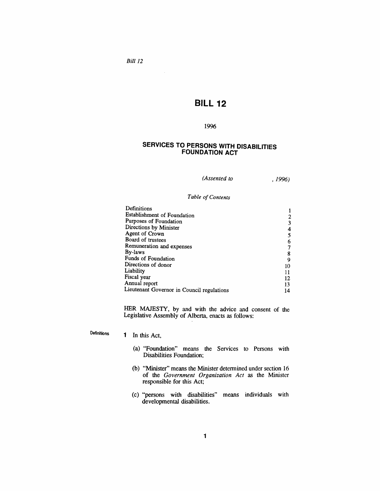## *BILL 12*

#### *1996*

### *SERVICES TO PERSONS WITH DISABILITIES FOUNDATION ACT*

*(Assented to , 1996)*

*Table ofContents*

| Definitions                                |    |
|--------------------------------------------|----|
| <b>Establishment of Foundation</b>         |    |
| Purposes of Foundation                     |    |
| Directions by Minister                     |    |
| Agent of Crown                             |    |
| Board of trustees                          |    |
| Remuneration and expenses                  |    |
| By-laws                                    | 8  |
| Funds of Foundation                        | g  |
| Directions of donor                        | 10 |
| Liability                                  | 11 |
| Fiscal year                                | 12 |
| Annual report                              | 13 |
| Lieutenant Governor in Council regulations | 14 |

*HER MAJESTY, by and with the advice and consent of the Legislative Assembly of Alberta, enacts as follows:*

*Definitions 1 In this Act,*

- *(a) "Foundation" means the Services to Persons with Disabilities Foundation;*
- *(b) "Minister" means the Minister determined under section 16 of the Government Organization Act as the Minister responsible for this Act;*
- *(c) "persons with disabilities" means individuals with developmental disabilities.*

*Bill 12*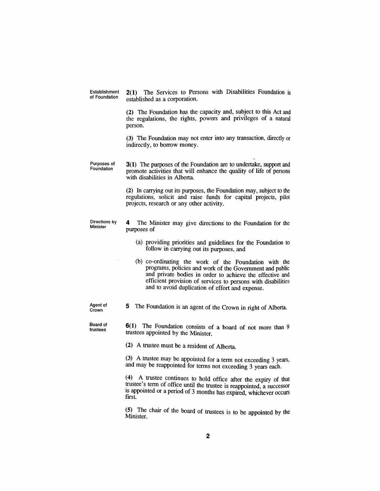*Establishment of Foundation 2(1) The Services to Persons with Disabilities Foundation is established as a corporation.*

> *(2) The Foundation has the capacity and, subject to this Act and the regulations, the rights, powers and privileges of a natural person.*

> *(3) The Foundation may not enter into any transaction, directly or indirectly, to borrow money.*

*Purposes of Foundation 3(1) The purposes of the Foundation are to undertake, support and promote activities that will enhance the quality of life of persons with disabilities in Alberta.*

> *(2) In carrying out its purposes, the Foundation may, subject to the regulations, solicit and raise funds for capital projects, pilot projects, research or any other activity.*

*Directions by Minister*

*4 The Minister may give directions to the Foundation for the purposes of*

- *(a) providing priorities and guidelines for the Foundation to follow in carrying out its purposes, and*
- *(b) co-ordinating the work of the Foundation with the programs, policies and work of the Government and public and private bodies in order to achieve the effective and efficient provision of services to persons with disabilities and to avoid duplication of effort and expense.*

*Agent of Crown*

*Board of trustees*

*5 The Foundation is an agent of the Crown in right of Alberta.*

*6(1) The Foundation consists of a board of not more than <sup>9</sup> trustees appointed by the Minister.*

*(2) A trustee must be a resident of Alberta.*

*(3) A trustee may be appointed for a term not exceeding 3 years, and may be reappointed for terms not exceeding 3 years each.*

*(4) A trustee continues to hold office after the expiry of that trustee s term of office until the trustee is reappointed, a successor is appointed or a period of 3 months has expired, whichever occurs first*

*(5) The chair of the board of trustees is to be appointed by the Minister.*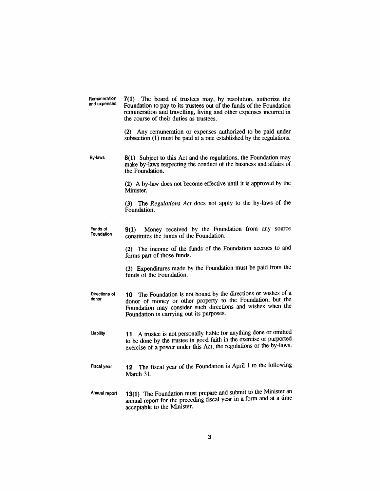*Remuneration and expenses 7(1) The board of trustees may, by resolution, authorize the Foundation to pay to its trustees out of the funds of the Foundation remuneration and travelling, living and other expenses incurred in the course of their duties as trustees.*

> *(2) Any remuneration or expenses authorized to be paid under subsection (1) must be paid at a rate established by the regulations.*

*By-laws 8(1) Subject to this Act and the regulations, the Foundation may make by-laws respecting the conduct of the business and affairs of the Foundation.*

> *(2) A by-law does not become effective until it is approved by the Minister.*

> *(3) The Regulations Act does not apply to the by-laws of the Foundation.*

*Funds of Foundation 9(1) Money received by the Foundation from any source constitutes the funds of the Foundation.*

> *(2) The income of the funds of the Foundation accrues to and forms part of those funds.*

> *(3) Expenditures made by the Foundation must be paid from the funds of the Foundation.*

*Directions of donor 10 The Foundation is not bound by the directions or wishes of a donor of money or other property to the Foundation, but the Foundation may consider such directions and wishes when the Foundation is carrying out its purposes.*

*Liability 11 A trustee is not personally liable for anything done or omitted to be done by the trustee in good faith in the exercise or purported exercise of a power under this Act, the regulations or the by-laws.*

- *Fiscal year 12 The fiscal year of the Foundation is April <sup>1</sup> to the following March 31.*
- *Annual report 13(1) The Foundation must prepare and submit to the Minister an annual report for the preceding fiscal year in a form and at a time acceptable to the Minister.*